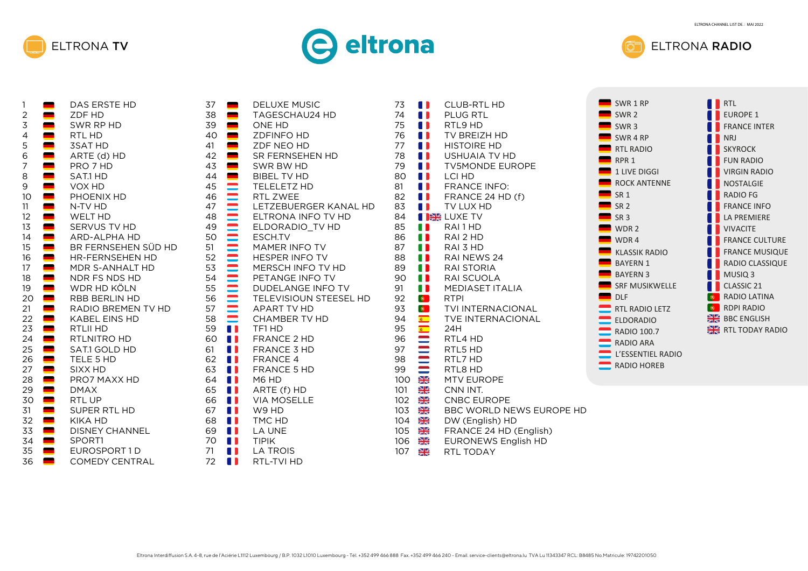





| 1              | ÷ | DAS ERSTE HD           |
|----------------|---|------------------------|
| $\overline{c}$ |   | ZDF HD                 |
| 3              |   | SWR RP HD              |
| 4              |   | RTL HD                 |
| 5              |   | <b>3SAT HD</b>         |
| 6              |   | ARTE (d) HD            |
| 7              |   | PRO 7 HD               |
| 8              |   | SAT.1 HD               |
| 9              |   | VOX HD                 |
| 10             |   | PHOENIX HD             |
| 11             |   | N-TV HD                |
| 12             |   | WELT HD                |
| 13             |   | SERVUS TV HD           |
| 14             |   | <b>ARD-ALPHA HD</b>    |
| 15             |   | BR FERNSEHEN SÜD HD    |
| 16             |   | <b>HR-FERNSEHEN HD</b> |
| 17             |   | MDR S-ANHALT HD        |
| 18             |   | NDR FS NDS HD          |
| 19             |   | WDR HD KÖLN            |
| 20             |   | <b>RBB BERLIN HD</b>   |
| 21             |   | RADIO BREMEN TV HD     |
| 22             |   | <b>KABEL EINS HD</b>   |
|                |   |                        |
| 23             |   | RTLII HD               |
| 24             |   | RTLNITRO HD            |
| 25             |   | SAT.1 GOLD HD          |
| 26             |   | TELE 5 HD              |
| 27             |   | SIXX HD                |
| 28             |   | PRO7 MAXX HD           |
| 29             |   | <b>DMAX</b>            |
| 30             |   | <b>RTL UP</b>          |
| 31             |   | SUPER RTL HD           |
| 32             |   | <b>KIKA HD</b>         |
| 33             |   | <b>DISNEY CHANNEL</b>  |
| 34             |   | SPORT1                 |
| 35             |   | EUROSPORT1D            |
| 36             |   | <b>COMEDY CENTRAL</b>  |

| 37<br>38<br>39 | ------- <u>--------</u> | <b>DELUXE MUSIC</b><br><b>TAGESCHAU24 HD</b><br><b>ONE HD</b> | 73<br>74<br>75 |                |
|----------------|-------------------------|---------------------------------------------------------------|----------------|----------------|
| 40             |                         | <b>ZDFINFO HD</b>                                             | 76             |                |
| 41             |                         | ZDF NEO HD                                                    | 77             |                |
| 42             |                         | SR FERNSEHEN HD                                               | 78             |                |
| 43<br>44       |                         | SWR BW HD<br><b>BIBEL TV HD</b>                               | 79<br>80       |                |
| 45             |                         | TELELETZ HD                                                   | 81             | A 1            |
| 46             |                         | RTL ZWEE                                                      | 82             | A N            |
| 47             |                         | LETZEBUERGER KANAL HD                                         | 83             |                |
| 48             |                         | ELTRONA INFO TV HD                                            | 84             | <b>IEE</b>     |
| 49             |                         | ELDORADIO_TV HD                                               | 85             |                |
| 50             |                         | ESCH.TV                                                       | 86             |                |
| 51             |                         | MAMER INFO TV                                                 | 87             | Ш              |
| 52             |                         | <b>HESPER INFO TV</b>                                         | 88             | 11             |
| 53             | <b>EQUIPMENT</b>        | MERSCH INFO TV HD                                             | 89             | A 1            |
| 54             |                         | PETANGE INFO TV                                               | 90             | A 1            |
| 55             |                         | <b>DUDELANGE INFO TV</b>                                      | 91             | O              |
| 56             |                         | TELEVISIOUN STEESEL HD                                        | 92             | $\bullet$      |
| 57             |                         | <b>APART TV HD</b>                                            | 93             |                |
| 58             |                         | <b>CHAMBER TV HD</b>                                          | 94             |                |
| 59<br>60       |                         | TF1 HD                                                        | 95<br>96       |                |
| 61             | OD                      | <b>FRANCE 2 HD</b><br>FRANCE 3 HD                             | 97             |                |
| 62             | A D                     | <b>FRANCE 4</b>                                               | 98             |                |
| 63             | A 1                     | FRANCE 5 HD                                                   | 99             |                |
| 64             | A 1                     | M6 HD                                                         | 100            |                |
| 65             | A N                     | ARTE (f) HD                                                   | 101            |                |
| 66             | 8 N                     | <b>VIA MOSELLE</b>                                            | 102            |                |
| 67             | A 1                     | W9 HD                                                         | 103            |                |
| 68             | OD                      | TMC HD                                                        | 104            | $\frac{N}{Z}$  |
| 69             | A D                     | <b>LA UNE</b>                                                 | 105            | NZ<br>ZK       |
| 70             | A D                     | <b>TIPIK</b>                                                  | 106            | $\frac{N}{2N}$ |
| 71             |                         | <b>LA TROIS</b><br>D                                          | 107            | ▓              |
| 72             | 11                      | RTL-TVI HD                                                    |                |                |

| <b>CLUB-RTL HD</b><br><b>PLUG RTL</b><br>RTL9 HD<br>TV BREIZH HD<br><b>HISTOIRE HD</b><br>USHUAIA TV HD<br><b>TV5MONDE EUROPE</b><br><b>LCI HD</b><br><b>FRANCE INFO:</b><br>FRANCE 24 HD (f)<br>TV LUX HD<br>∰ LUXE TV<br>RAI1HD<br>RAI 2 HD<br>RAI 3 HD<br>RAI NEWS 24<br><b>RAI STORIA</b><br><b>RAI SCUOLA</b> | SWR 1 RP<br>SWR <sub>2</sub><br>SWR <sub>3</sub><br>SWR <sub>4</sub> RP<br><b>RTL RADIO</b><br>RPR <sub>1</sub><br>1 LIVE DIGGI<br><b>ROCK ANTENNE</b><br>SR <sub>1</sub><br><b>SR 2</b><br>SR <sub>3</sub><br>WDR <sub>2</sub><br>WDR4<br><b>KLASSIK RADIO</b><br><b>BAYERN 1</b><br><b>BAYERN 3</b> | <b>RTL</b><br><b>EUROPE 1</b><br><b>FRANCE INTER</b><br><b>NRJ</b><br><b>SKYROCK</b><br><b>FUN RADIO</b><br><b>VIRGIN RADIO</b><br><b>NOSTALGIE</b><br><b>RADIO FG</b><br><b>FRANCE INFO</b><br><b>LA PREMIERE</b><br><b>VIVACITE</b><br><b>FRANCE CULTURE</b><br><b>FRANCE MUSIQUE</b><br>RADIO CLASSIQUE<br>MUSIQ <sub>3</sub> |
|--------------------------------------------------------------------------------------------------------------------------------------------------------------------------------------------------------------------------------------------------------------------------------------------------------------------|-------------------------------------------------------------------------------------------------------------------------------------------------------------------------------------------------------------------------------------------------------------------------------------------------------|----------------------------------------------------------------------------------------------------------------------------------------------------------------------------------------------------------------------------------------------------------------------------------------------------------------------------------|
| <b>TVE INTERNACIONAL</b><br>24H<br>RTL4 HD<br>RTL5 HD<br>RTL7 HD<br>RTL8 HD<br><b>MTV EUROPE</b>                                                                                                                                                                                                                   | <b>ELDORADIO</b><br><b>RADIO 100.7</b><br><b>RADIO ARA</b><br>L'ESSENTIEL RADIO<br>$RADIO$ HOREB                                                                                                                                                                                                      | <b>BBC ENGLISH</b><br>RTL TODAY RADIO                                                                                                                                                                                                                                                                                            |
| CNN INT.<br><b>CNBC EUROPE</b><br>BBC WORLD NEWS EUROPE HD<br>DW (English) HD<br>FRANCE 24 HD (English)<br><b>EURONEWS English HD</b>                                                                                                                                                                              |                                                                                                                                                                                                                                                                                                       |                                                                                                                                                                                                                                                                                                                                  |

RTL TODAY